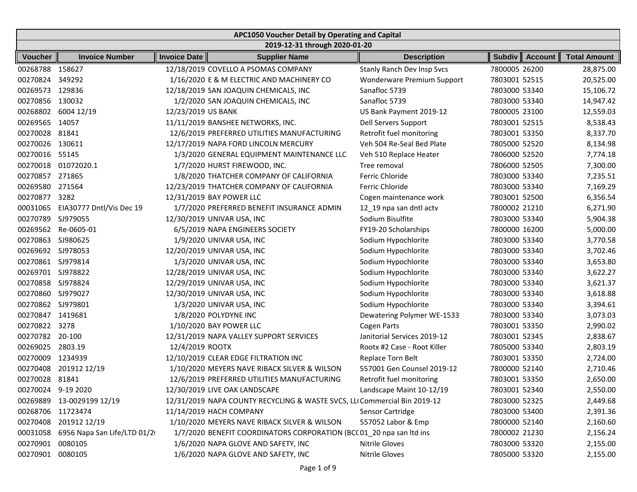| APC1050 Voucher Detail by Operating and Capital |                             |                            |                                                                           |                                   |                                 |                     |  |  |  |  |
|-------------------------------------------------|-----------------------------|----------------------------|---------------------------------------------------------------------------|-----------------------------------|---------------------------------|---------------------|--|--|--|--|
|                                                 |                             |                            | 2019-12-31 through 2020-01-20                                             |                                   |                                 |                     |  |  |  |  |
| <b>Voucher</b>                                  | <b>Invoice Number</b>       | Invoice Date               | <b>Supplier Name</b>                                                      | <b>Description</b>                | <b>Subdiv</b><br><b>Account</b> | <b>Total Amount</b> |  |  |  |  |
| 00268788 158627                                 |                             |                            | 12/18/2019 COVELLO A PSOMAS COMPANY                                       | <b>Stanly Ranch Dev Insp Svcs</b> | 7800005 26200                   | 28,875.00           |  |  |  |  |
| 00270824                                        | 349292                      |                            | 1/16/2020 E & M ELECTRIC AND MACHINERY CO                                 | Wonderware Premium Support        | 7803001 52515                   | 20,525.00           |  |  |  |  |
| 00269573                                        | 129836                      |                            | 12/18/2019 SAN JOAQUIN CHEMICALS, INC                                     | Sanafloc 5739                     | 7803000 53340                   | 15,106.72           |  |  |  |  |
| 00270856                                        | 130032                      |                            | 1/2/2020 SAN JOAQUIN CHEMICALS, INC                                       | Sanafloc 5739                     | 7803000 53340                   | 14,947.42           |  |  |  |  |
| 00268802                                        | 6004 12/19                  | 12/23/2019 US BANK         |                                                                           | US Bank Payment 2019-12           | 7800005 23100                   | 12,559.03           |  |  |  |  |
| 00269565                                        | 14057                       |                            | 11/11/2019 BANSHEE NETWORKS, INC.                                         | Dell Servers Support              | 7803001 52515                   | 8,538.43            |  |  |  |  |
| 00270028                                        | 81841                       |                            | 12/6/2019 PREFERRED UTILITIES MANUFACTURING                               | Retrofit fuel monitoring          | 7803001 53350                   | 8,337.70            |  |  |  |  |
| 00270026                                        | 130611                      |                            | 12/17/2019 NAPA FORD LINCOLN MERCURY                                      | Veh 504 Re-Seal Bed Plate         | 7805000 52520                   | 8,134.98            |  |  |  |  |
| 00270016                                        | 55145                       |                            | 1/3/2020 GENERAL EQUIPMENT MAINTENANCE LLC                                | Veh 510 Replace Heater            | 7806000 52520                   | 7,774.18            |  |  |  |  |
| 00270018                                        | 01072020.1                  |                            | 1/7/2020 HURST FIREWOOD, INC.                                             | Tree removal                      | 7806000 52505                   | 7,300.00            |  |  |  |  |
| 00270857                                        | 271865                      |                            | 1/8/2020 THATCHER COMPANY OF CALIFORNIA                                   | Ferric Chloride                   | 7803000 53340                   | 7,235.51            |  |  |  |  |
| 00269580                                        | 271564                      |                            | 12/23/2019 THATCHER COMPANY OF CALIFORNIA                                 | Ferric Chloride                   | 7803000 53340                   | 7,169.29            |  |  |  |  |
| 00270877                                        | 3282                        | 12/31/2019 BAY POWER LLC   |                                                                           | Cogen maintenance work            | 7803001 52500                   | 6,356.54            |  |  |  |  |
| 00031065                                        | EIA30777 Dntl/Vis Dec 19    |                            | 1/7/2020 PREFERRED BENEFIT INSURANCE ADMIN                                | 12_19 npa san dntl actv           | 7800002 21210                   | 6,271.90            |  |  |  |  |
| 00270789                                        | SJ979055                    | 12/30/2019 UNIVAR USA, INC |                                                                           | Sodium Bisulfite                  | 7803000 53340                   | 5,904.38            |  |  |  |  |
| 00269562                                        | Re-0605-01                  |                            | 6/5/2019 NAPA ENGINEERS SOCIETY                                           | FY19-20 Scholarships              | 7800000 16200                   | 5,000.00            |  |  |  |  |
| 00270863                                        | SJ980625                    |                            | 1/9/2020 UNIVAR USA, INC                                                  | Sodium Hypochlorite               | 7803000 53340                   | 3,770.58            |  |  |  |  |
| 00269692                                        | SJ978053                    | 12/20/2019 UNIVAR USA, INC |                                                                           | Sodium Hypochlorite               | 7803000 53340                   | 3,702.46            |  |  |  |  |
| 00270861                                        | SJ979814                    | 1/3/2020 UNIVAR USA, INC   |                                                                           | Sodium Hypochlorite               | 7803000 53340                   | 3,653.80            |  |  |  |  |
| 00269701                                        | SJ978822                    | 12/28/2019 UNIVAR USA, INC |                                                                           | Sodium Hypochlorite               | 7803000 53340                   | 3,622.27            |  |  |  |  |
| 00270858 SJ978824                               |                             | 12/29/2019 UNIVAR USA, INC |                                                                           | Sodium Hypochlorite               | 7803000 53340                   | 3,621.37            |  |  |  |  |
| 00270860 SJ979027                               |                             | 12/30/2019 UNIVAR USA, INC |                                                                           | Sodium Hypochlorite               | 7803000 53340                   | 3,618.88            |  |  |  |  |
| 00270862                                        | SJ979801                    | 1/3/2020 UNIVAR USA, INC   |                                                                           | Sodium Hypochlorite               | 7803000 53340                   | 3,394.61            |  |  |  |  |
| 00270847                                        | 1419681                     | 1/8/2020 POLYDYNE INC      |                                                                           | Dewatering Polymer WE-1533        | 7803000 53340                   | 3,073.03            |  |  |  |  |
| 00270822                                        | 3278                        | 1/10/2020 BAY POWER LLC    |                                                                           | Cogen Parts                       | 7803001 53350                   | 2,990.02            |  |  |  |  |
| 00270782                                        | 20-100                      |                            | 12/31/2019 NAPA VALLEY SUPPORT SERVICES                                   | Janitorial Services 2019-12       | 7803001 52345                   | 2,838.67            |  |  |  |  |
| 00269025                                        | 2803.19                     | 12/4/2019 ROOTX            |                                                                           | Rootx #2 Case - Root Killer       | 7805000 53340                   | 2,803.19            |  |  |  |  |
| 00270009                                        | 1234939                     |                            | 12/10/2019 CLEAR EDGE FILTRATION INC                                      | <b>Replace Torn Belt</b>          | 7803001 53350                   | 2,724.00            |  |  |  |  |
| 00270408                                        | 201912 12/19                |                            | 1/10/2020 MEYERS NAVE RIBACK SILVER & WILSON                              | 557001 Gen Counsel 2019-12        | 7800000 52140                   | 2,710.46            |  |  |  |  |
| 00270028                                        | 81841                       |                            | 12/6/2019 PREFERRED UTILITIES MANUFACTURING                               | Retrofit fuel monitoring          | 7803001 53350                   | 2,650.00            |  |  |  |  |
| 00270024 9-19 2020                              |                             |                            | 12/30/2019 LIVE OAK LANDSCAPE                                             | Landscape Maint 10-12/19          | 7803001 52340                   | 2,550.00            |  |  |  |  |
|                                                 | 00269889 13-0029199 12/19   |                            | 12/31/2019 NAPA COUNTY RECYCLING & WASTE SVCS, LLI Commercial Bin 2019-12 |                                   | 7803000 52325                   | 2,449.68            |  |  |  |  |
| 00268706 11723474                               |                             | 11/14/2019 HACH COMPANY    |                                                                           | Sensor Cartridge                  | 7803000 53400                   | 2,391.36            |  |  |  |  |
|                                                 | 00270408 201912 12/19       |                            | 1/10/2020 MEYERS NAVE RIBACK SILVER & WILSON                              | 557052 Labor & Emp                | 7800000 52140                   | 2,160.60            |  |  |  |  |
| 00031058                                        | 6956 Napa San Life/LTD 01/2 |                            | 1/7/2020 BENEFIT COORDINATORS CORPORATION (BCC 01_20 npa san ltd ins      |                                   | 7800002 21230                   | 2,156.24            |  |  |  |  |
| 00270901                                        | 0080105                     |                            | 1/6/2020 NAPA GLOVE AND SAFETY, INC                                       | Nitrile Gloves                    | 7803000 53320                   | 2,155.00            |  |  |  |  |
| 00270901 0080105                                |                             |                            | 1/6/2020 NAPA GLOVE AND SAFETY, INC                                       | Nitrile Gloves                    | 7805000 53320                   | 2,155.00            |  |  |  |  |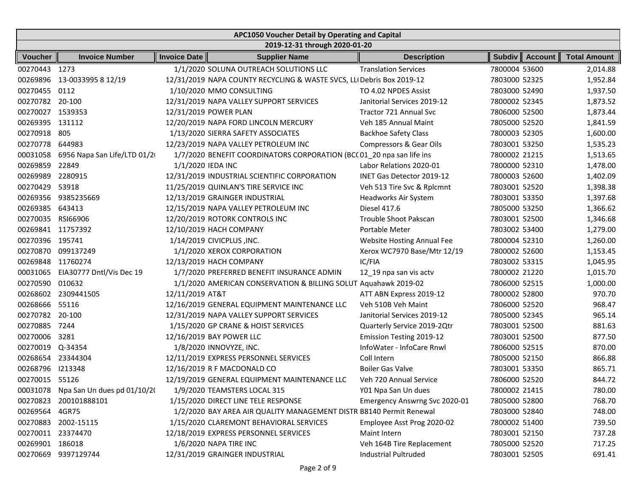| APC1050 Voucher Detail by Operating and Capital |                             |                     |                                                                       |                                 |               |                |                     |  |  |
|-------------------------------------------------|-----------------------------|---------------------|-----------------------------------------------------------------------|---------------------------------|---------------|----------------|---------------------|--|--|
|                                                 |                             |                     | 2019-12-31 through 2020-01-20                                         |                                 |               |                |                     |  |  |
| <b>Voucher</b>                                  | <b>Invoice Number</b>       | <b>Invoice Date</b> | <b>Supplier Name</b>                                                  | <b>Description</b>              | <b>Subdiv</b> | <b>Account</b> | <b>Total Amount</b> |  |  |
| 00270443 1273                                   |                             |                     | 1/1/2020 SOLUNA OUTREACH SOLUTIONS LLC                                | <b>Translation Services</b>     | 7800004 53600 |                | 2,014.88            |  |  |
| 00269896                                        | 13-0033995 8 12/19          |                     | 12/31/2019 NAPA COUNTY RECYCLING & WASTE SVCS, LLI Debris Box 2019-12 |                                 | 7803000 52325 |                | 1,952.84            |  |  |
| 00270455 0112                                   |                             |                     | 1/10/2020 MMO CONSULTING                                              | TO 4.02 NPDES Assist            | 7803000 52490 |                | 1,937.50            |  |  |
| 00270782 20-100                                 |                             |                     | 12/31/2019 NAPA VALLEY SUPPORT SERVICES                               | Janitorial Services 2019-12     | 7800002 52345 |                | 1,873.52            |  |  |
| 00270027                                        | 1539353                     |                     | 12/31/2019 POWER PLAN                                                 | Tractor 721 Annual Svc          | 7806000 52500 |                | 1,873.44            |  |  |
| 00269395                                        | 131112                      |                     | 12/20/2019 NAPA FORD LINCOLN MERCURY                                  | Veh 185 Annual Maint            | 7805000 52520 |                | 1,841.59            |  |  |
| 00270918                                        | 805                         |                     | 1/13/2020 SIERRA SAFETY ASSOCIATES                                    | <b>Backhoe Safety Class</b>     | 7800003 52305 |                | 1,600.00            |  |  |
| 00270778                                        | 644983                      |                     | 12/23/2019 NAPA VALLEY PETROLEUM INC                                  | Compressors & Gear Oils         | 7803001 53250 |                | 1,535.23            |  |  |
| 00031058                                        | 6956 Napa San Life/LTD 01/2 |                     | 1/7/2020 BENEFIT COORDINATORS CORPORATION (BCC 01_20 npa san life ins |                                 | 7800002 21215 |                | 1,513.65            |  |  |
| 00269859                                        | 22849                       | 1/1/2020 IEDA INC   |                                                                       | Labor Relations 2020-01         | 7800000 52310 |                | 1,478.00            |  |  |
| 00269989                                        | 2280915                     |                     | 12/31/2019 INDUSTRIAL SCIENTIFIC CORPORATION                          | INET Gas Detector 2019-12       | 7800003 52600 |                | 1,402.09            |  |  |
| 00270429                                        | 53918                       |                     | 11/25/2019 QUINLAN'S TIRE SERVICE INC                                 | Veh 513 Tire Svc & Rplcmnt      | 7803001 52520 |                | 1,398.38            |  |  |
|                                                 | 00269356 9385235669         |                     | 12/13/2019 GRAINGER INDUSTRIAL                                        | Headworks Air System            | 7803001 53350 |                | 1,397.68            |  |  |
| 00269385                                        | 643413                      |                     | 12/15/2019 NAPA VALLEY PETROLEUM INC                                  | Diesel 417.6                    | 7805000 53250 |                | 1,366.62            |  |  |
| 00270035                                        | RSI66906                    |                     | 12/20/2019 ROTORK CONTROLS INC                                        | <b>Trouble Shoot Pakscan</b>    | 7803001 52500 |                | 1,346.68            |  |  |
| 00269841 11757392                               |                             |                     | 12/10/2019 HACH COMPANY                                               | Portable Meter                  | 7803002 53400 |                | 1,279.00            |  |  |
| 00270396 195741                                 |                             |                     | 1/14/2019 CIVICPLUS , INC.                                            | Website Hosting Annual Fee      | 7800004 52310 |                | 1,260.00            |  |  |
|                                                 | 00270870 099137249          |                     | 1/1/2020 XEROX CORPORATION                                            | Xerox WC7970 Base/Mtr 12/19     | 7800002 52600 |                | 1,153.45            |  |  |
| 00269848 11760274                               |                             |                     | 12/13/2019 HACH COMPANY                                               | IC/FIA                          | 7803002 53315 |                | 1,045.95            |  |  |
| 00031065                                        | EIA30777 Dntl/Vis Dec 19    |                     | 1/7/2020 PREFERRED BENEFIT INSURANCE ADMIN                            | 12_19 npa san vis actv          | 7800002 21220 |                | 1,015.70            |  |  |
| 00270590                                        | 010632                      |                     | 1/1/2020 AMERICAN CONSERVATION & BILLING SOLUT Aquahawk 2019-02       |                                 | 7806000 52515 |                | 1,000.00            |  |  |
|                                                 | 00268602 2309441505         | 12/11/2019 AT&T     |                                                                       | ATT ABN Express 2019-12         | 7800002 52800 |                | 970.70              |  |  |
| 00268666                                        | 55116                       |                     | 12/16/2019 GENERAL EQUIPMENT MAINTENANCE LLC                          | Veh 510B Veh Maint              | 7806000 52520 |                | 968.47              |  |  |
| 00270782                                        | 20-100                      |                     | 12/31/2019 NAPA VALLEY SUPPORT SERVICES                               | Janitorial Services 2019-12     | 7805000 52345 |                | 965.14              |  |  |
| 00270885                                        | 7244                        |                     | 1/15/2020 GP CRANE & HOIST SERVICES                                   | Quarterly Service 2019-2Qtr     | 7803001 52500 |                | 881.63              |  |  |
| 00270006                                        | 3281                        |                     | 12/16/2019 BAY POWER LLC                                              | <b>Emission Testing 2019-12</b> | 7803001 52500 |                | 877.50              |  |  |
| 00270019 Q-34354                                |                             |                     | 1/8/2020 INNOVYZE, INC.                                               | InfoWater - InfoCare Rnwl       | 7806000 52515 |                | 870.00              |  |  |
| 00268654                                        | 23344304                    |                     | 12/11/2019 EXPRESS PERSONNEL SERVICES                                 | Coll Intern                     | 7805000 52150 |                | 866.88              |  |  |
| 00268796                                        | 1213348                     |                     | 12/16/2019 R F MACDONALD CO                                           | <b>Boiler Gas Valve</b>         | 7803001 53350 |                | 865.71              |  |  |
| 00270015 55126                                  |                             |                     | 12/19/2019 GENERAL EQUIPMENT MAINTENANCE LLC                          | Veh 720 Annual Service          | 7806000 52520 |                | 844.72              |  |  |
| 00031078                                        | Npa San Un dues pd 01/10/20 |                     | 1/9/2020 TEAMSTERS LOCAL 315                                          | Y01 Npa San Un dues             | 7800002 21415 |                | 780.00              |  |  |
|                                                 | 00270823 200101888101       |                     | 1/15/2020 DIRECT LINE TELE RESPONSE                                   | Emergency Answrng Svc 2020-01   | 7805000 52800 |                | 768.70              |  |  |
| 00269564 4GR75                                  |                             |                     | 1/2/2020 BAY AREA AIR QUALITY MANAGEMENT DISTR B8140 Permit Renewal   |                                 | 7803000 52840 |                | 748.00              |  |  |
|                                                 | 00270883 2002-15115         |                     | 1/15/2020 CLAREMONT BEHAVIORAL SERVICES                               | Employee Asst Prog 2020-02      | 7800002 51400 |                | 739.50              |  |  |
| 00270011 23374470                               |                             |                     | 12/18/2019 EXPRESS PERSONNEL SERVICES                                 | Maint Intern                    | 7803001 52150 |                | 737.28              |  |  |
| 00269901 186018                                 |                             |                     | 1/6/2020 NAPA TIRE INC                                                | Veh 164B Tire Replacement       | 7805000 52520 |                | 717.25              |  |  |
| 00270669                                        | 9397129744                  |                     | 12/31/2019 GRAINGER INDUSTRIAL                                        | <b>Industrial Pultruded</b>     | 7803001 52505 |                | 691.41              |  |  |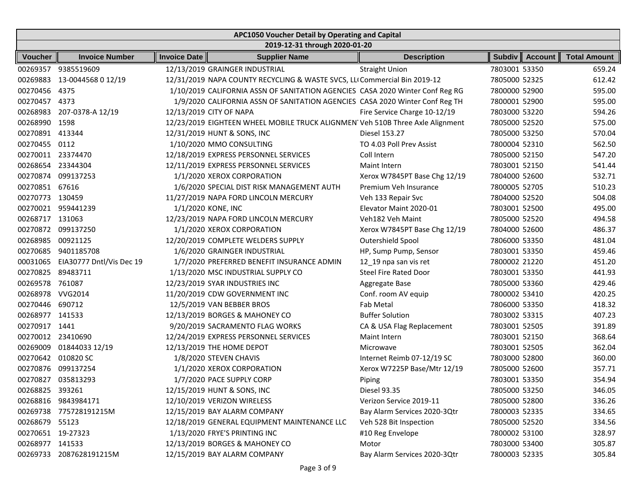|                   | APC1050 Voucher Detail by Operating and Capital |                     |                                                                               |                              |               |                |                     |  |  |  |  |
|-------------------|-------------------------------------------------|---------------------|-------------------------------------------------------------------------------|------------------------------|---------------|----------------|---------------------|--|--|--|--|
|                   | 2019-12-31 through 2020-01-20                   |                     |                                                                               |                              |               |                |                     |  |  |  |  |
| <b>Voucher</b>    | <b>Invoice Number</b>                           | <b>Invoice Date</b> | <b>Supplier Name</b>                                                          | <b>Description</b>           | <b>Subdiv</b> | <b>Account</b> | <b>Total Amount</b> |  |  |  |  |
|                   | 00269357 9385519609                             |                     | 12/13/2019 GRAINGER INDUSTRIAL                                                | <b>Straight Union</b>        | 7803001 53350 |                | 659.24              |  |  |  |  |
| 00269883          | 13-0044568 0 12/19                              |                     | 12/31/2019 NAPA COUNTY RECYCLING & WASTE SVCS, LLI Commercial Bin 2019-12     |                              | 7805000 52325 |                | 612.42              |  |  |  |  |
| 00270456 4375     |                                                 |                     | 1/10/2019 CALIFORNIA ASSN OF SANITATION AGENCIES CASA 2020 Winter Conf Reg RG |                              | 7800000 52900 |                | 595.00              |  |  |  |  |
| 00270457          | 4373                                            |                     | 1/9/2020 CALIFORNIA ASSN OF SANITATION AGENCIES CASA 2020 Winter Conf Reg TH  |                              | 7800001 52900 |                | 595.00              |  |  |  |  |
| 00268983          | 207-0378-A 12/19                                |                     | 12/13/2019 CITY OF NAPA                                                       | Fire Service Charge 10-12/19 | 7803000 53220 |                | 594.26              |  |  |  |  |
| 00268990 1598     |                                                 |                     | 12/23/2019 EIGHTEEN WHEEL MOBILE TRUCK ALIGNMEN Veh 510B Three Axle Alignment |                              | 7805000 52520 |                | 575.00              |  |  |  |  |
| 00270891 413344   |                                                 |                     | 12/31/2019 HUNT & SONS, INC                                                   | Diesel 153.27                | 7805000 53250 |                | 570.04              |  |  |  |  |
| 00270455 0112     |                                                 |                     | 1/10/2020 MMO CONSULTING                                                      | TO 4.03 Poll Prev Assist     | 7800004 52310 |                | 562.50              |  |  |  |  |
| 00270011 23374470 |                                                 |                     | 12/18/2019 EXPRESS PERSONNEL SERVICES                                         | Coll Intern                  | 7805000 52150 |                | 547.20              |  |  |  |  |
| 00268654 23344304 |                                                 |                     | 12/11/2019 EXPRESS PERSONNEL SERVICES                                         | Maint Intern                 | 7803001 52150 |                | 541.44              |  |  |  |  |
|                   | 00270874 099137253                              |                     | 1/1/2020 XEROX CORPORATION                                                    | Xerox W7845PT Base Chg 12/19 | 7804000 52600 |                | 532.71              |  |  |  |  |
| 00270851 67616    |                                                 |                     | 1/6/2020 SPECIAL DIST RISK MANAGEMENT AUTH                                    | Premium Veh Insurance        | 7800005 52705 |                | 510.23              |  |  |  |  |
| 00270773 130459   |                                                 |                     | 11/27/2019 NAPA FORD LINCOLN MERCURY                                          | Veh 133 Repair Svc           | 7804000 52520 |                | 504.08              |  |  |  |  |
| 00270021          | 959441239                                       | 1/1/2020 KONE, INC  |                                                                               | Elevator Maint 2020-01       | 7803001 52500 |                | 495.00              |  |  |  |  |
| 00268717 131063   |                                                 |                     | 12/23/2019 NAPA FORD LINCOLN MERCURY                                          | Veh182 Veh Maint             | 7805000 52520 |                | 494.58              |  |  |  |  |
| 00270872          | 099137250                                       |                     | 1/1/2020 XEROX CORPORATION                                                    | Xerox W7845PT Base Chg 12/19 | 7804000 52600 |                | 486.37              |  |  |  |  |
| 00268985          | 00921125                                        |                     | 12/20/2019 COMPLETE WELDERS SUPPLY                                            | Outershield Spool            | 7806000 53350 |                | 481.04              |  |  |  |  |
|                   | 00270685 9401185708                             |                     | 1/6/2020 GRAINGER INDUSTRIAL                                                  | HP, Sump Pump, Sensor        | 7803001 53350 |                | 459.46              |  |  |  |  |
| 00031065          | EIA30777 Dntl/Vis Dec 19                        |                     | 1/7/2020 PREFERRED BENEFIT INSURANCE ADMIN                                    | 12_19 npa san vis ret        | 7800002 21220 |                | 451.20              |  |  |  |  |
| 00270825          | 89483711                                        |                     | 1/13/2020 MSC INDUSTRIAL SUPPLY CO                                            | <b>Steel Fire Rated Door</b> | 7803001 53350 |                | 441.93              |  |  |  |  |
| 00269578          | 761087                                          |                     | 12/23/2019 SYAR INDUSTRIES INC                                                | Aggregate Base               | 7805000 53360 |                | 429.46              |  |  |  |  |
| 00268978          | <b>VVG2014</b>                                  |                     | 11/20/2019 CDW GOVERNMENT INC                                                 | Conf. room AV equip          | 7800002 53410 |                | 420.25              |  |  |  |  |
| 00270446          | 690712                                          |                     | 12/5/2019 VAN BEBBER BROS                                                     | Fab Metal                    | 7806000 53350 |                | 418.32              |  |  |  |  |
| 00268977          | 141533                                          |                     | 12/13/2019 BORGES & MAHONEY CO                                                | <b>Buffer Solution</b>       | 7803002 53315 |                | 407.23              |  |  |  |  |
| 00270917          | 1441                                            |                     | 9/20/2019 SACRAMENTO FLAG WORKS                                               | CA & USA Flag Replacement    | 7803001 52505 |                | 391.89              |  |  |  |  |
| 00270012 23410690 |                                                 |                     | 12/24/2019 EXPRESS PERSONNEL SERVICES                                         | Maint Intern                 | 7803001 52150 |                | 368.64              |  |  |  |  |
| 00269009          | 01844033 12/19                                  |                     | 12/13/2019 THE HOME DEPOT                                                     | Microwave                    | 7803001 52505 |                | 362.04              |  |  |  |  |
|                   | 00270642 010820 SC                              |                     | 1/8/2020 STEVEN CHAVIS                                                        | Internet Reimb 07-12/19 SC   | 7803000 52800 |                | 360.00              |  |  |  |  |
| 00270876          | 099137254                                       |                     | 1/1/2020 XEROX CORPORATION                                                    | Xerox W7225P Base/Mtr 12/19  | 7805000 52600 |                | 357.71              |  |  |  |  |
|                   | 00270827 035813293                              |                     | 1/7/2020 PACE SUPPLY CORP                                                     | Piping                       | 7803001 53350 |                | 354.94              |  |  |  |  |
| 00268825 393261   |                                                 |                     | 12/15/2019 HUNT & SONS, INC                                                   | Diesel 93.35                 | 7805000 53250 |                | 346.05              |  |  |  |  |
|                   | 00268816 9843984171                             |                     | 12/10/2019 VERIZON WIRELESS                                                   | Verizon Service 2019-11      | 7805000 52800 |                | 336.26              |  |  |  |  |
|                   | 00269738 775728191215M                          |                     | 12/15/2019 BAY ALARM COMPANY                                                  | Bay Alarm Services 2020-3Qtr | 7800003 52335 |                | 334.65              |  |  |  |  |
| 00268679 55123    |                                                 |                     | 12/18/2019 GENERAL EQUIPMENT MAINTENANCE LLC                                  | Veh 528 Bit Inspection       | 7805000 52520 |                | 334.56              |  |  |  |  |
| 00270651 19-27323 |                                                 |                     | 1/13/2020 FRYE'S PRINTING INC                                                 | #10 Reg Envelope             | 7800002 53100 |                | 328.97              |  |  |  |  |
| 00268977 141533   |                                                 |                     | 12/13/2019 BORGES & MAHONEY CO                                                | Motor                        | 7803000 53400 |                | 305.87              |  |  |  |  |
|                   | 00269733 2087628191215M                         |                     | 12/15/2019 BAY ALARM COMPANY                                                  | Bay Alarm Services 2020-3Qtr | 7800003 52335 |                | 305.84              |  |  |  |  |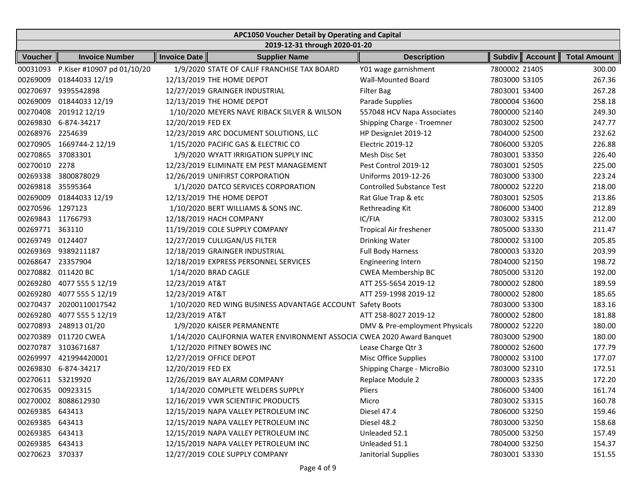| APC1050 Voucher Detail by Operating and Capital |                            |                     |                                                                        |                                  |               |                  |                     |  |  |  |
|-------------------------------------------------|----------------------------|---------------------|------------------------------------------------------------------------|----------------------------------|---------------|------------------|---------------------|--|--|--|
|                                                 |                            |                     | 2019-12-31 through 2020-01-20                                          |                                  |               |                  |                     |  |  |  |
| <b>Voucher</b>                                  | <b>Invoice Number</b>      | <b>Invoice Date</b> | <b>Supplier Name</b>                                                   | <b>Description</b>               |               | Subdiv   Account | <b>Total Amount</b> |  |  |  |
| 00031093                                        | P.Kiser #10907 pd 01/10/20 |                     | 1/9/2020 STATE OF CALIF FRANCHISE TAX BOARD                            | Y01 wage garnishment             | 7800002 21405 |                  | 300.00              |  |  |  |
| 00269009                                        | 01844033 12/19             |                     | 12/13/2019 THE HOME DEPOT                                              | <b>Wall-Mounted Board</b>        | 7803000 53105 |                  | 267.36              |  |  |  |
| 00270697                                        | 9395542898                 |                     | 12/27/2019 GRAINGER INDUSTRIAL                                         | <b>Filter Bag</b>                | 7803001 53400 |                  | 267.28              |  |  |  |
| 00269009                                        | 01844033 12/19             |                     | 12/13/2019 THE HOME DEPOT                                              | Parade Supplies                  | 7800004 53600 |                  | 258.18              |  |  |  |
| 00270408                                        | 201912 12/19               |                     | 1/10/2020 MEYERS NAVE RIBACK SILVER & WILSON                           | 557048 HCV Napa Associates       | 7800000 52140 |                  | 249.30              |  |  |  |
| 00269830                                        | 6-874-34217                | 12/20/2019 FED EX   |                                                                        | Shipping Charge - Troemner       | 7803002 52500 |                  | 247.77              |  |  |  |
| 00268976                                        | 2254639                    |                     | 12/23/2019 ARC DOCUMENT SOLUTIONS, LLC                                 | HP DesignJet 2019-12             | 7804000 52500 |                  | 232.62              |  |  |  |
| 00270905                                        | 1669744-2 12/19            |                     | 1/15/2020 PACIFIC GAS & ELECTRIC CO                                    | Electric 2019-12                 | 7806000 53205 |                  | 226.88              |  |  |  |
| 00270865                                        | 37083301                   |                     | 1/9/2020 WYATT IRRIGATION SUPPLY INC                                   | Mesh Disc Set                    | 7803001 53350 |                  | 226.40              |  |  |  |
| 00270010                                        | 2278                       |                     | 12/23/2019 ELIMINATE EM PEST MANAGEMENT                                | Pest Control 2019-12             | 7803001 52505 |                  | 225.00              |  |  |  |
| 00269338                                        | 3800878029                 |                     | 12/26/2019 UNIFIRST CORPORATION                                        | Uniforms 2019-12-26              | 7803000 53300 |                  | 223.24              |  |  |  |
| 00269818                                        | 35595364                   |                     | 1/1/2020 DATCO SERVICES CORPORATION                                    | <b>Controlled Substance Test</b> | 7800002 52220 |                  | 218.00              |  |  |  |
| 00269009                                        | 01844033 12/19             |                     | 12/13/2019 THE HOME DEPOT                                              | Rat Glue Trap & etc              | 7803001 52505 |                  | 213.86              |  |  |  |
| 00270596 1297123                                |                            |                     | 1/10/2020 BERT WILLIAMS & SONS INC.                                    | Rethreading Kit                  | 7806000 53400 |                  | 212.89              |  |  |  |
| 00269843 11766793                               |                            |                     | 12/18/2019 HACH COMPANY                                                | IC/FIA                           | 7803002 53315 |                  | 212.00              |  |  |  |
| 00269771                                        | 363110                     |                     | 11/19/2019 COLE SUPPLY COMPANY                                         | Tropical Air freshener           | 7805000 53330 |                  | 211.47              |  |  |  |
| 00269749                                        | 0124407                    |                     | 12/27/2019 CULLIGAN/US FILTER                                          | Drinking Water                   | 7800002 53100 |                  | 205.85              |  |  |  |
| 00269369                                        | 9389211187                 |                     | 12/18/2019 GRAINGER INDUSTRIAL                                         | <b>Full Body Harness</b>         | 7800003 53320 |                  | 203.99              |  |  |  |
| 00268647                                        | 23357904                   |                     | 12/18/2019 EXPRESS PERSONNEL SERVICES                                  | <b>Engineering Intern</b>        | 7804000 52150 |                  | 198.72              |  |  |  |
|                                                 | 00270882 011420 BC         |                     | 1/14/2020 BRAD CAGLE                                                   | <b>CWEA Membership BC</b>        | 7805000 53120 |                  | 192.00              |  |  |  |
| 00269280                                        | 4077 555 5 12/19           | 12/23/2019 AT&T     |                                                                        | ATT 255-5654 2019-12             | 7800002 52800 |                  | 189.59              |  |  |  |
| 00269280                                        | 4077 555 5 12/19           | 12/23/2019 AT&T     |                                                                        | ATT 259-1998 2019-12             | 7800002 52800 |                  | 185.65              |  |  |  |
| 00270437                                        | 20200110017542             |                     | 1/10/2020 RED WING BUSINESS ADVANTAGE ACCOUNT Safety Boots             |                                  | 7803000 53300 |                  | 183.16              |  |  |  |
| 00269280                                        | 4077 555 5 12/19           | 12/23/2019 AT&T     |                                                                        | ATT 258-8027 2019-12             | 7800002 52800 |                  | 181.88              |  |  |  |
| 00270893                                        | 248913 01/20               |                     | 1/9/2020 KAISER PERMANENTE                                             | DMV & Pre-employment Physicals   | 7800002 52220 |                  | 180.00              |  |  |  |
| 00270389                                        | 011720 CWEA                |                     | 1/14/2020 CALIFORNIA WATER ENVIRONMENT ASSOCIA CWEA 2020 Award Banquet |                                  | 7803000 52900 |                  | 180.00              |  |  |  |
| 00270787                                        | 3103671687                 |                     | 1/12/2020 PITNEY BOWES INC                                             | Lease Charge Qtr 3               | 7800002 52600 |                  | 177.79              |  |  |  |
| 00269997                                        | 421994420001               |                     | 12/27/2019 OFFICE DEPOT                                                | Misc Office Supplies             | 7800002 53100 |                  | 177.07              |  |  |  |
| 00269830                                        | 6-874-34217                | 12/20/2019 FED EX   |                                                                        | Shipping Charge - MicroBio       | 7803000 52310 |                  | 172.51              |  |  |  |
| 00270611 S3219920                               |                            |                     | 12/26/2019 BAY ALARM COMPANY                                           | Replace Module 2                 | 7800003 52335 |                  | 172.20              |  |  |  |
| 00270635 00923315                               |                            |                     | 1/14/2020 COMPLETE WELDERS SUPPLY                                      | Pliers                           | 7806000 53400 |                  | 161.74              |  |  |  |
|                                                 | 00270002 8088612930        |                     | 12/16/2019 VWR SCIENTIFIC PRODUCTS                                     | Micro                            | 7803002 53315 |                  | 160.78              |  |  |  |
| 00269385                                        | 643413                     |                     | 12/15/2019 NAPA VALLEY PETROLEUM INC                                   | Diesel 47.4                      | 7806000 53250 |                  | 159.46              |  |  |  |
| 00269385                                        | 643413                     |                     | 12/15/2019 NAPA VALLEY PETROLEUM INC                                   | Diesel 48.2                      | 7803000 53250 |                  | 158.68              |  |  |  |
| 00269385                                        | 643413                     |                     | 12/15/2019 NAPA VALLEY PETROLEUM INC                                   | Unleaded 52.1                    | 7805000 53250 |                  | 157.49              |  |  |  |
| 00269385 643413                                 |                            |                     | 12/15/2019 NAPA VALLEY PETROLEUM INC                                   | Unleaded 51.1                    | 7804000 53250 |                  | 154.37              |  |  |  |
| 00270623 370337                                 |                            |                     | 12/27/2019 COLE SUPPLY COMPANY                                         | Janitorial Supplies              | 7803001 53330 |                  | 151.55              |  |  |  |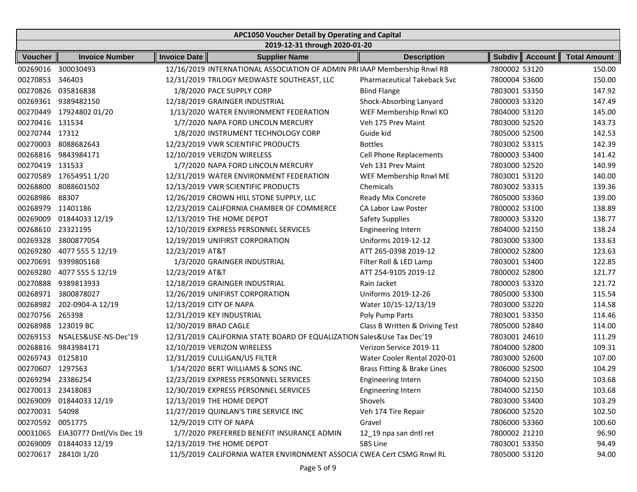|                   | APC1050 Voucher Detail by Operating and Capital |                       |                                                                          |                                    |               |                  |                     |  |  |  |
|-------------------|-------------------------------------------------|-----------------------|--------------------------------------------------------------------------|------------------------------------|---------------|------------------|---------------------|--|--|--|
|                   |                                                 |                       | 2019-12-31 through 2020-01-20                                            |                                    |               |                  |                     |  |  |  |
| <b>Voucher</b>    | <b>Invoice Number</b>                           | <b>Invoice Date</b>   | <b>Supplier Name</b>                                                     | <b>Description</b>                 |               | Subdiv   Account | <b>Total Amount</b> |  |  |  |
| 00269016          | 300030493                                       |                       | 12/16/2019 INTERNATIONAL ASSOCIATION OF ADMIN PR(IAAP Membership Rnwl RB |                                    | 7800002 53120 |                  | 150.00              |  |  |  |
| 00270853          | 346403                                          |                       | 12/31/2019 TRILOGY MEDWASTE SOUTHEAST, LLC                               | <b>Pharmaceutical Takeback Svc</b> | 7800004 53600 |                  | 150.00              |  |  |  |
| 00270826          | 035816838                                       |                       | 1/8/2020 PACE SUPPLY CORP                                                | <b>Blind Flange</b>                | 7803001 53350 |                  | 147.92              |  |  |  |
| 00269361          | 9389482150                                      |                       | 12/18/2019 GRAINGER INDUSTRIAL                                           | Shock-Absorbing Lanyard            | 7800003 53320 |                  | 147.49              |  |  |  |
|                   | 00270449 17924802 01/20                         |                       | 1/13/2020 WATER ENVIRONMENT FEDERATION                                   | WEF Membership Rnwl KO             | 7804000 53120 |                  | 145.00              |  |  |  |
| 00270416 131534   |                                                 |                       | 1/7/2020 NAPA FORD LINCOLN MERCURY                                       | Veh 175 Prev Maint                 | 7803000 52520 |                  | 143.73              |  |  |  |
| 00270744 17312    |                                                 |                       | 1/8/2020 INSTRUMENT TECHNOLOGY CORP                                      | Guide kid                          | 7805000 52500 |                  | 142.53              |  |  |  |
| 00270003          | 8088682643                                      |                       | 12/23/2019 VWR SCIENTIFIC PRODUCTS                                       | <b>Bottles</b>                     | 7803002 53315 |                  | 142.39              |  |  |  |
| 00268816          | 9843984171                                      |                       | 12/10/2019 VERIZON WIRELESS                                              | Cell Phone Replacements            | 7800003 53400 |                  | 141.42              |  |  |  |
| 00270419          | 131533                                          |                       | 1/7/2020 NAPA FORD LINCOLN MERCURY                                       | Veh 131 Prev Maint                 | 7803000 52520 |                  | 140.99              |  |  |  |
|                   | 00270589 17654951 1/20                          |                       | 12/31/2019 WATER ENVIRONMENT FEDERATION                                  | WEF Membership Rnwl ME             | 7803001 53120 |                  | 140.00              |  |  |  |
| 00268800          | 8088601502                                      |                       | 12/13/2019 VWR SCIENTIFIC PRODUCTS                                       | Chemicals                          | 7803002 53315 |                  | 139.36              |  |  |  |
| 00268986          | 88307                                           |                       | 12/26/2019 CROWN HILL STONE SUPPLY, LLC                                  | Ready Mix Concrete                 | 7805000 53360 |                  | 139.00              |  |  |  |
| 00268979 11401186 |                                                 |                       | 12/23/2019 CALIFORNIA CHAMBER OF COMMERCE                                | <b>CA Labor Law Poster</b>         | 7800002 53100 |                  | 138.89              |  |  |  |
| 00269009          | 01844033 12/19                                  |                       | 12/13/2019 THE HOME DEPOT                                                | <b>Safety Supplies</b>             | 7800003 53320 |                  | 138.77              |  |  |  |
| 00268610          | 23321195                                        |                       | 12/10/2019 EXPRESS PERSONNEL SERVICES                                    | <b>Engineering Intern</b>          | 7804000 52150 |                  | 138.24              |  |  |  |
| 00269328          | 3800877054                                      |                       | 12/19/2019 UNIFIRST CORPORATION                                          | Uniforms 2019-12-12                | 7803000 53300 |                  | 133.63              |  |  |  |
| 00269280          | 4077 555 5 12/19                                | 12/23/2019 AT&T       |                                                                          | ATT 265-0398 2019-12               | 7800002 52800 |                  | 123.63              |  |  |  |
|                   | 00270691 9399805168                             |                       | 1/3/2020 GRAINGER INDUSTRIAL                                             | Filter Roll & LED Lamp             | 7803001 53400 |                  | 122.85              |  |  |  |
| 00269280          | 4077 555 5 12/19                                | 12/23/2019 AT&T       |                                                                          | ATT 254-9105 2019-12               | 7800002 52800 |                  | 121.77              |  |  |  |
| 00270888          | 9389813933                                      |                       | 12/18/2019 GRAINGER INDUSTRIAL                                           | Rain Jacket                        | 7800003 53320 |                  | 121.72              |  |  |  |
| 00268971          | 3800878027                                      |                       | 12/26/2019 UNIFIRST CORPORATION                                          | Uniforms 2019-12-26                | 7805000 53300 |                  | 115.54              |  |  |  |
| 00268982          | 202-0904-A 12/19                                |                       | 12/13/2019 CITY OF NAPA                                                  | Water 10/15-12/13/19               | 7803000 53220 |                  | 114.58              |  |  |  |
| 00270756          | 265398                                          |                       | 12/31/2019 KEY INDUSTRIAL                                                | Poly Pump Parts                    | 7803001 53350 |                  | 114.46              |  |  |  |
| 00268988          | 123019 BC                                       | 12/30/2019 BRAD CAGLE |                                                                          | Class B Written & Driving Test     | 7805000 52840 |                  | 114.00              |  |  |  |
| 00269153          | NSALES&USE-NS-Dec'19                            |                       | 12/31/2019 CALIFORNIA STATE BOARD OF EQUALIZATION Sales&Use Tax Dec'19   |                                    | 7803001 24610 |                  | 111.29              |  |  |  |
| 00268816          | 9843984171                                      |                       | 12/10/2019 VERIZON WIRELESS                                              | Verizon Service 2019-11            | 7804000 52800 |                  | 109.31              |  |  |  |
| 00269743          | 0125810                                         |                       | 12/31/2019 CULLIGAN/US FILTER                                            | Water Cooler Rental 2020-01        | 7803000 52600 |                  | 107.00              |  |  |  |
| 00270607          | 1297563                                         |                       | 1/14/2020 BERT WILLIAMS & SONS INC.                                      | Brass Fitting & Brake Lines        | 7806000 52500 |                  | 104.29              |  |  |  |
| 00269294 23386254 |                                                 |                       | 12/23/2019 EXPRESS PERSONNEL SERVICES                                    | <b>Engineering Intern</b>          | 7804000 52150 |                  | 103.68              |  |  |  |
| 00270013 23418083 |                                                 |                       | 12/30/2019 EXPRESS PERSONNEL SERVICES                                    | Engineering Intern                 | 7804000 52150 |                  | 103.68              |  |  |  |
|                   | 00269009 01844033 12/19                         |                       | 12/13/2019 THE HOME DEPOT                                                | Shovels                            | 7803000 53400 |                  | 103.29              |  |  |  |
| 00270031 54098    |                                                 |                       | 11/27/2019 QUINLAN'S TIRE SERVICE INC                                    | Veh 174 Tire Repair                | 7806000 52520 |                  | 102.50              |  |  |  |
| 00270592 0051775  |                                                 |                       | 12/9/2019 CITY OF NAPA                                                   | Gravel                             | 7806000 53360 |                  | 100.60              |  |  |  |
| 00031065          | EIA30777 Dntl/Vis Dec 19                        |                       | 1/7/2020 PREFERRED BENEFIT INSURANCE ADMIN                               | 12_19 npa san dntl ret             | 7800002 21210 |                  | 96.90               |  |  |  |
| 00269009          | 01844033 12/19                                  |                       | 12/13/2019 THE HOME DEPOT                                                | SBS Line                           | 7803001 53350 |                  | 94.49               |  |  |  |
|                   | 00270617 28410l 1/20                            |                       | 11/5/2019 CALIFORNIA WATER ENVIRONMENT ASSOCIA CWEA Cert CSMG Rnwl RL    |                                    | 7805000 53120 |                  | 94.00               |  |  |  |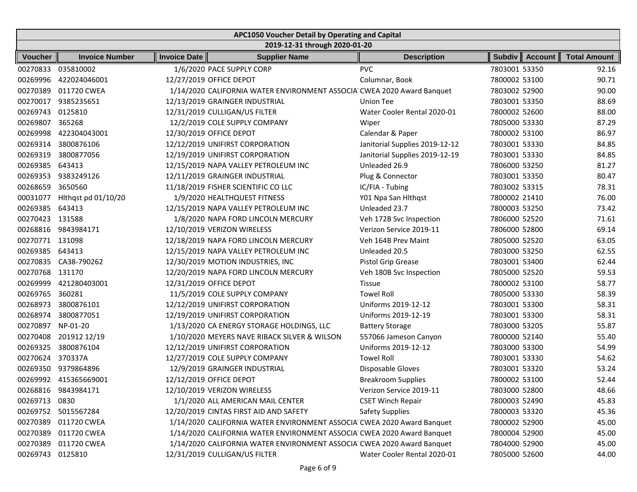| APC1050 Voucher Detail by Operating and Capital |                               |                     |                                                                        |                                |               |                  |                     |  |  |  |
|-------------------------------------------------|-------------------------------|---------------------|------------------------------------------------------------------------|--------------------------------|---------------|------------------|---------------------|--|--|--|
|                                                 | 2019-12-31 through 2020-01-20 |                     |                                                                        |                                |               |                  |                     |  |  |  |
| <b>Voucher</b>                                  | <b>Invoice Number</b>         | <b>Invoice Date</b> | <b>Supplier Name</b>                                                   | <b>Description</b>             |               | Subdiv   Account | <b>Total Amount</b> |  |  |  |
| 00270833                                        | 035810002                     |                     | 1/6/2020 PACE SUPPLY CORP                                              | <b>PVC</b>                     | 7803001 53350 |                  | 92.16               |  |  |  |
| 00269996                                        | 422024046001                  |                     | 12/27/2019 OFFICE DEPOT                                                | Columnar, Book                 | 7800002 53100 |                  | 90.71               |  |  |  |
| 00270389                                        | 011720 CWEA                   |                     | 1/14/2020 CALIFORNIA WATER ENVIRONMENT ASSOCIA CWEA 2020 Award Banquet |                                | 7803002 52900 |                  | 90.00               |  |  |  |
| 00270017                                        | 9385235651                    |                     | 12/13/2019 GRAINGER INDUSTRIAL                                         | Union Tee                      | 7803001 53350 |                  | 88.69               |  |  |  |
| 00269743                                        | 0125810                       |                     | 12/31/2019 CULLIGAN/US FILTER                                          | Water Cooler Rental 2020-01    | 7800002 52600 |                  | 88.00               |  |  |  |
| 00269807                                        | 365268                        |                     | 12/2/2019 COLE SUPPLY COMPANY                                          | Wiper                          | 7805000 53330 |                  | 87.29               |  |  |  |
| 00269998                                        | 422304043001                  |                     | 12/30/2019 OFFICE DEPOT                                                | Calendar & Paper               | 7800002 53100 |                  | 86.97               |  |  |  |
| 00269314                                        | 3800876106                    |                     | 12/12/2019 UNIFIRST CORPORATION                                        | Janitorial Supplies 2019-12-12 | 7803001 53330 |                  | 84.85               |  |  |  |
| 00269319                                        | 3800877056                    |                     | 12/19/2019 UNIFIRST CORPORATION                                        | Janitorial Supplies 2019-12-19 | 7803001 53330 |                  | 84.85               |  |  |  |
| 00269385                                        | 643413                        |                     | 12/15/2019 NAPA VALLEY PETROLEUM INC                                   | Unleaded 26.9                  | 7806000 53250 |                  | 81.27               |  |  |  |
| 00269353                                        | 9383249126                    |                     | 12/11/2019 GRAINGER INDUSTRIAL                                         | Plug & Connector               | 7803001 53350 |                  | 80.47               |  |  |  |
| 00268659                                        | 3650560                       |                     | 11/18/2019 FISHER SCIENTIFIC CO LLC                                    | IC/FIA - Tubing                | 7803002 53315 |                  | 78.31               |  |  |  |
| 00031077                                        | Hithqst pd 01/10/20           |                     | 1/9/2020 HEALTHQUEST FITNESS                                           | Y01 Npa San Hithqst            | 7800002 21410 |                  | 76.00               |  |  |  |
| 00269385                                        | 643413                        |                     | 12/15/2019 NAPA VALLEY PETROLEUM INC                                   | Unleaded 23.7                  | 7800003 53250 |                  | 73.42               |  |  |  |
| 00270423 131588                                 |                               |                     | 1/8/2020 NAPA FORD LINCOLN MERCURY                                     | Veh 172B Svc Inspection        | 7806000 52520 |                  | 71.61               |  |  |  |
|                                                 | 00268816 9843984171           |                     | 12/10/2019 VERIZON WIRELESS                                            | Verizon Service 2019-11        | 7806000 52800 |                  | 69.14               |  |  |  |
| 00270771 131098                                 |                               |                     | 12/18/2019 NAPA FORD LINCOLN MERCURY                                   | Veh 164B Prev Maint            | 7805000 52520 |                  | 63.05               |  |  |  |
| 00269385                                        | 643413                        |                     | 12/15/2019 NAPA VALLEY PETROLEUM INC                                   | Unleaded 20.5                  | 7803000 53250 |                  | 62.55               |  |  |  |
| 00270835                                        | CA38-790262                   |                     | 12/30/2019 MOTION INDUSTRIES, INC                                      | Pistol Grip Grease             | 7803001 53400 |                  | 62.44               |  |  |  |
| 00270768 131170                                 |                               |                     | 12/20/2019 NAPA FORD LINCOLN MERCURY                                   | Veh 180B Svc Inspection        | 7805000 52520 |                  | 59.53               |  |  |  |
| 00269999                                        | 421280403001                  |                     | 12/31/2019 OFFICE DEPOT                                                | <b>Tissue</b>                  | 7800002 53100 |                  | 58.77               |  |  |  |
| 00269765                                        | 360281                        |                     | 11/5/2019 COLE SUPPLY COMPANY                                          | <b>Towel Roll</b>              | 7805000 53330 |                  | 58.39               |  |  |  |
| 00268973                                        | 3800876101                    |                     | 12/12/2019 UNIFIRST CORPORATION                                        | Uniforms 2019-12-12            | 7803001 53300 |                  | 58.31               |  |  |  |
| 00268974                                        | 3800877051                    |                     | 12/19/2019 UNIFIRST CORPORATION                                        | Uniforms 2019-12-19            | 7803001 53300 |                  | 58.31               |  |  |  |
| 00270897                                        | NP-01-20                      |                     | 1/13/2020 CA ENERGY STORAGE HOLDINGS, LLC                              | <b>Battery Storage</b>         | 7803000 53205 |                  | 55.87               |  |  |  |
| 00270408                                        | 201912 12/19                  |                     | 1/10/2020 MEYERS NAVE RIBACK SILVER & WILSON                           | 557066 Jameson Canyon          | 7800000 52140 |                  | 55.40               |  |  |  |
| 00269325                                        | 3800876104                    |                     | 12/12/2019 UNIFIRST CORPORATION                                        | Uniforms 2019-12-12            | 7803000 53300 |                  | 54.99               |  |  |  |
| 00270624                                        | 370337A                       |                     | 12/27/2019 COLE SUPPLY COMPANY                                         | <b>Towel Roll</b>              | 7803001 53330 |                  | 54.62               |  |  |  |
| 00269350                                        | 9379864896                    |                     | 12/9/2019 GRAINGER INDUSTRIAL                                          | Disposable Gloves              | 7803001 53320 |                  | 53.24               |  |  |  |
|                                                 | 00269992 415365669001         |                     | 12/12/2019 OFFICE DEPOT                                                | <b>Breakroom Supplies</b>      | 7800002 53100 |                  | 52.44               |  |  |  |
|                                                 | 00268816 9843984171           |                     | 12/10/2019 VERIZON WIRELESS                                            | Verizon Service 2019-11        | 7803000 52800 |                  | 48.66               |  |  |  |
| 00269713                                        | 0830                          |                     | 1/1/2020 ALL AMERICAN MAIL CENTER                                      | <b>CSET Winch Repair</b>       | 7800003 52490 |                  | 45.83               |  |  |  |
|                                                 | 00269752 5015567284           |                     | 12/20/2019 CINTAS FIRST AID AND SAFETY                                 | <b>Safety Supplies</b>         | 7800003 53320 |                  | 45.36               |  |  |  |
| 00270389                                        | 011720 CWEA                   |                     | 1/14/2020 CALIFORNIA WATER ENVIRONMENT ASSOCIA CWEA 2020 Award Banquet |                                | 7800002 52900 |                  | 45.00               |  |  |  |
| 00270389                                        | 011720 CWEA                   |                     | 1/14/2020 CALIFORNIA WATER ENVIRONMENT ASSOCIA CWEA 2020 Award Banquet |                                | 7800004 52900 |                  | 45.00               |  |  |  |
| 00270389                                        | 011720 CWEA                   |                     | 1/14/2020 CALIFORNIA WATER ENVIRONMENT ASSOCIA CWEA 2020 Award Banquet |                                | 7804000 52900 |                  | 45.00               |  |  |  |
| 00269743 0125810                                |                               |                     | 12/31/2019 CULLIGAN/US FILTER                                          | Water Cooler Rental 2020-01    | 7805000 52600 |                  | 44.00               |  |  |  |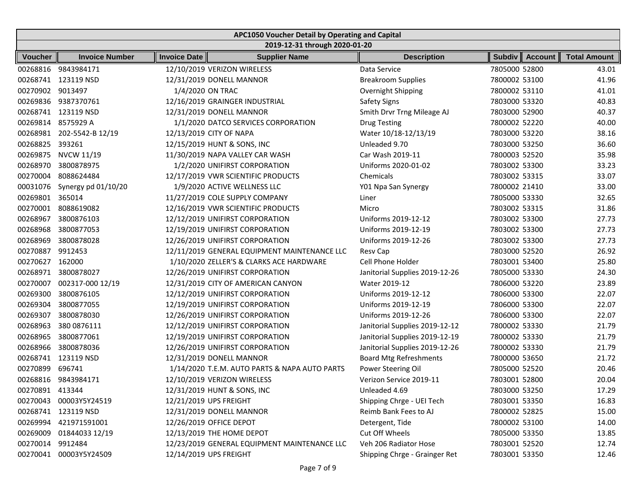| APC1050 Voucher Detail by Operating and Capital |                        |                        |                                               |                                |               |                  |                     |  |  |  |
|-------------------------------------------------|------------------------|------------------------|-----------------------------------------------|--------------------------------|---------------|------------------|---------------------|--|--|--|
|                                                 |                        |                        | 2019-12-31 through 2020-01-20                 |                                |               |                  |                     |  |  |  |
| <b>Voucher</b>                                  | <b>Invoice Number</b>  | <b>Invoice Date</b>    | <b>Supplier Name</b>                          | <b>Description</b>             |               | Subdiv   Account | <b>Total Amount</b> |  |  |  |
| 00268816                                        | 9843984171             |                        | 12/10/2019 VERIZON WIRELESS                   | Data Service                   | 7805000 52800 |                  | 43.01               |  |  |  |
|                                                 | 00268741 123119 NSD    |                        | 12/31/2019 DONELL MANNOR                      | <b>Breakroom Supplies</b>      | 7800002 53100 |                  | 41.96               |  |  |  |
| 00270902 9013497                                |                        | 1/4/2020 ON TRAC       |                                               | Overnight Shipping             | 7800002 53110 |                  | 41.01               |  |  |  |
|                                                 | 00269836 9387370761    |                        | 12/16/2019 GRAINGER INDUSTRIAL                | Safety Signs                   | 7803000 53320 |                  | 40.83               |  |  |  |
| 00268741                                        | 123119 NSD             |                        | 12/31/2019 DONELL MANNOR                      | Smith Drvr Trng Mileage AJ     | 7803000 52900 |                  | 40.37               |  |  |  |
|                                                 | 00269814 8575929 A     |                        | 1/1/2020 DATCO SERVICES CORPORATION           | <b>Drug Testing</b>            | 7800002 52220 |                  | 40.00               |  |  |  |
| 00268981                                        | 202-5542-B 12/19       |                        | 12/13/2019 CITY OF NAPA                       | Water 10/18-12/13/19           | 7803000 53220 |                  | 38.16               |  |  |  |
| 00268825                                        | 393261                 |                        | 12/15/2019 HUNT & SONS, INC                   | Unleaded 9.70                  | 7803000 53250 |                  | 36.60               |  |  |  |
| 00269875                                        | NVCW 11/19             |                        | 11/30/2019 NAPA VALLEY CAR WASH               | Car Wash 2019-11               | 7800003 52520 |                  | 35.98               |  |  |  |
| 00268970                                        | 3800878975             |                        | 1/2/2020 UNIFIRST CORPORATION                 | Uniforms 2020-01-02            | 7803002 53300 |                  | 33.23               |  |  |  |
| 00270004                                        | 8088624484             |                        | 12/17/2019 VWR SCIENTIFIC PRODUCTS            | Chemicals                      | 7803002 53315 |                  | 33.07               |  |  |  |
| 00031076                                        | Synergy pd 01/10/20    |                        | 1/9/2020 ACTIVE WELLNESS LLC                  | Y01 Npa San Synergy            | 7800002 21410 |                  | 33.00               |  |  |  |
| 00269801                                        | 365014                 |                        | 11/27/2019 COLE SUPPLY COMPANY                | Liner                          | 7805000 53330 |                  | 32.65               |  |  |  |
| 00270001                                        | 8088619082             |                        | 12/16/2019 VWR SCIENTIFIC PRODUCTS            | Micro                          | 7803002 53315 |                  | 31.86               |  |  |  |
| 00268967                                        | 3800876103             |                        | 12/12/2019 UNIFIRST CORPORATION               | Uniforms 2019-12-12            | 7803002 53300 |                  | 27.73               |  |  |  |
| 00268968                                        | 3800877053             |                        | 12/19/2019 UNIFIRST CORPORATION               | Uniforms 2019-12-19            | 7803002 53300 |                  | 27.73               |  |  |  |
| 00268969                                        | 3800878028             |                        | 12/26/2019 UNIFIRST CORPORATION               | Uniforms 2019-12-26            | 7803002 53300 |                  | 27.73               |  |  |  |
| 00270887                                        | 9912453                |                        | 12/11/2019 GENERAL EQUIPMENT MAINTENANCE LLC  | <b>Resv Cap</b>                | 7803000 52520 |                  | 26.92               |  |  |  |
| 00270627                                        | 162000                 |                        | 1/10/2020 ZELLER'S & CLARKS ACE HARDWARE      | Cell Phone Holder              | 7803001 53400 |                  | 25.80               |  |  |  |
| 00268971                                        | 3800878027             |                        | 12/26/2019 UNIFIRST CORPORATION               | Janitorial Supplies 2019-12-26 | 7805000 53330 |                  | 24.30               |  |  |  |
| 00270007                                        | 002317-000 12/19       |                        | 12/31/2019 CITY OF AMERICAN CANYON            | Water 2019-12                  | 7806000 53220 |                  | 23.89               |  |  |  |
| 00269300                                        | 3800876105             |                        | 12/12/2019 UNIFIRST CORPORATION               | Uniforms 2019-12-12            | 7806000 53300 |                  | 22.07               |  |  |  |
| 00269304                                        | 3800877055             |                        | 12/19/2019 UNIFIRST CORPORATION               | Uniforms 2019-12-19            | 7806000 53300 |                  | 22.07               |  |  |  |
| 00269307                                        | 3800878030             |                        | 12/26/2019 UNIFIRST CORPORATION               | Uniforms 2019-12-26            | 7806000 53300 |                  | 22.07               |  |  |  |
| 00268963                                        | 380 0876111            |                        | 12/12/2019 UNIFIRST CORPORATION               | Janitorial Supplies 2019-12-12 | 7800002 53330 |                  | 21.79               |  |  |  |
| 00268965                                        | 3800877061             |                        | 12/19/2019 UNIFIRST CORPORATION               | Janitorial Supplies 2019-12-19 | 7800002 53330 |                  | 21.79               |  |  |  |
| 00268966                                        | 3800878036             |                        | 12/26/2019 UNIFIRST CORPORATION               | Janitorial Supplies 2019-12-26 | 7800002 53330 |                  | 21.79               |  |  |  |
|                                                 | 00268741 123119 NSD    |                        | 12/31/2019 DONELL MANNOR                      | <b>Board Mtg Refreshments</b>  | 7800000 53650 |                  | 21.72               |  |  |  |
| 00270899                                        | 696741                 |                        | 1/14/2020 T.E.M. AUTO PARTS & NAPA AUTO PARTS | Power Steering Oil             | 7805000 52520 |                  | 20.46               |  |  |  |
|                                                 | 00268816 9843984171    |                        | 12/10/2019 VERIZON WIRELESS                   | Verizon Service 2019-11        | 7803001 52800 |                  | 20.04               |  |  |  |
| 00270891 413344                                 |                        |                        | 12/31/2019 HUNT & SONS, INC                   | Unleaded 4.69                  | 7803000 53250 |                  | 17.29               |  |  |  |
|                                                 | 00270043 00003Y5Y24519 | 12/21/2019 UPS FREIGHT |                                               | Shipping Chrge - UEI Tech      | 7803001 53350 |                  | 16.83               |  |  |  |
|                                                 | 00268741 123119 NSD    |                        | 12/31/2019 DONELL MANNOR                      | Reimb Bank Fees to AJ          | 7800002 52825 |                  | 15.00               |  |  |  |
|                                                 | 00269994 421971591001  |                        | 12/26/2019 OFFICE DEPOT                       | Detergent, Tide                | 7800002 53100 |                  | 14.00               |  |  |  |
| 00269009                                        | 01844033 12/19         |                        | 12/13/2019 THE HOME DEPOT                     | Cut Off Wheels                 | 7805000 53350 |                  | 13.85               |  |  |  |
| 00270014 9912484                                |                        |                        | 12/23/2019 GENERAL EQUIPMENT MAINTENANCE LLC  | Veh 206 Radiator Hose          | 7803001 52520 |                  | 12.74               |  |  |  |
|                                                 | 00270041 00003Y5Y24509 | 12/14/2019 UPS FREIGHT |                                               | Shipping Chrge - Grainger Ret  | 7803001 53350 |                  | 12.46               |  |  |  |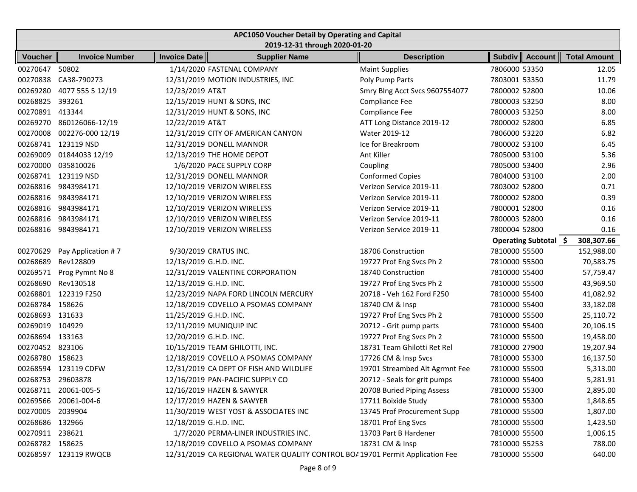| APC1050 Voucher Detail by Operating and Capital |                               |                        |                                                                               |                                |               |                       |                     |  |  |  |
|-------------------------------------------------|-------------------------------|------------------------|-------------------------------------------------------------------------------|--------------------------------|---------------|-----------------------|---------------------|--|--|--|
|                                                 | 2019-12-31 through 2020-01-20 |                        |                                                                               |                                |               |                       |                     |  |  |  |
| <b>Voucher</b>                                  | <b>Invoice Number</b>         | <b>Invoice Date</b>    | <b>Supplier Name</b>                                                          | <b>Description</b>             | <b>Subdiv</b> | <b>Account</b>        | <b>Total Amount</b> |  |  |  |
| 00270647                                        | 50802                         |                        | 1/14/2020 FASTENAL COMPANY                                                    | <b>Maint Supplies</b>          | 7806000 53350 |                       | 12.05               |  |  |  |
| 00270838                                        | CA38-790273                   |                        | 12/31/2019 MOTION INDUSTRIES, INC                                             | Poly Pump Parts                | 7803001 53350 |                       | 11.79               |  |  |  |
| 00269280                                        | 4077 555 5 12/19              | 12/23/2019 AT&T        |                                                                               | Smry Blng Acct Svcs 9607554077 | 7800002 52800 |                       | 10.06               |  |  |  |
| 00268825                                        | 393261                        |                        | 12/15/2019 HUNT & SONS, INC                                                   | Compliance Fee                 | 7800003 53250 |                       | 8.00                |  |  |  |
| 00270891 413344                                 |                               |                        | 12/31/2019 HUNT & SONS, INC                                                   | Compliance Fee                 | 7800003 53250 |                       | 8.00                |  |  |  |
|                                                 | 00269270 860126066-12/19      | 12/22/2019 AT&T        |                                                                               | ATT Long Distance 2019-12      | 7800002 52800 |                       | 6.85                |  |  |  |
| 00270008                                        | 002276-000 12/19              |                        | 12/31/2019 CITY OF AMERICAN CANYON                                            | Water 2019-12                  | 7806000 53220 |                       | 6.82                |  |  |  |
| 00268741                                        | 123119 NSD                    |                        | 12/31/2019 DONELL MANNOR                                                      | Ice for Breakroom              | 7800002 53100 |                       | 6.45                |  |  |  |
| 00269009                                        | 01844033 12/19                |                        | 12/13/2019 THE HOME DEPOT                                                     | Ant Killer                     | 7805000 53100 |                       | 5.36                |  |  |  |
| 00270000                                        | 035810026                     |                        | 1/6/2020 PACE SUPPLY CORP                                                     | Coupling                       | 7805000 53400 |                       | 2.96                |  |  |  |
|                                                 | 00268741 123119 NSD           |                        | 12/31/2019 DONELL MANNOR                                                      | <b>Conformed Copies</b>        | 7804000 53100 |                       | 2.00                |  |  |  |
|                                                 | 00268816 9843984171           |                        | 12/10/2019 VERIZON WIRELESS                                                   | Verizon Service 2019-11        | 7803002 52800 |                       | 0.71                |  |  |  |
| 00268816                                        | 9843984171                    |                        | 12/10/2019 VERIZON WIRELESS                                                   | Verizon Service 2019-11        | 7800002 52800 |                       | 0.39                |  |  |  |
| 00268816                                        | 9843984171                    |                        | 12/10/2019 VERIZON WIRELESS                                                   | Verizon Service 2019-11        | 7800001 52800 |                       | 0.16                |  |  |  |
|                                                 | 00268816 9843984171           |                        | 12/10/2019 VERIZON WIRELESS                                                   | Verizon Service 2019-11        | 7800003 52800 |                       | 0.16                |  |  |  |
|                                                 | 00268816 9843984171           |                        | 12/10/2019 VERIZON WIRELESS                                                   | Verizon Service 2019-11        | 7800004 52800 |                       | 0.16                |  |  |  |
|                                                 |                               |                        |                                                                               |                                |               | Operating Subtotal \$ | 308,307.66          |  |  |  |
| 00270629                                        | Pay Application #7            |                        | 9/30/2019 CRATUS INC.                                                         | 18706 Construction             | 7810000 55500 |                       | 152,988.00          |  |  |  |
| 00268689                                        | Rev128809                     | 12/13/2019 G.H.D. INC. |                                                                               | 19727 Prof Eng Svcs Ph 2       | 7810000 55500 |                       | 70,583.75           |  |  |  |
| 00269571                                        | Prog Pymnt No 8               |                        | 12/31/2019 VALENTINE CORPORATION                                              | 18740 Construction             | 7810000 55400 |                       | 57,759.47           |  |  |  |
| 00268690                                        | Rev130518                     | 12/13/2019 G.H.D. INC. |                                                                               | 19727 Prof Eng Svcs Ph 2       | 7810000 55500 |                       | 43,969.50           |  |  |  |
| 00268801                                        | 122319 F250                   |                        | 12/23/2019 NAPA FORD LINCOLN MERCURY                                          | 20718 - Veh 162 Ford F250      | 7810000 55400 |                       | 41,082.92           |  |  |  |
| 00268784                                        | 158626                        |                        | 12/18/2019 COVELLO A PSOMAS COMPANY                                           | 18740 CM & Insp                | 7810000 55400 |                       | 33,182.08           |  |  |  |
| 00268693                                        | 131633                        | 11/25/2019 G.H.D. INC. |                                                                               | 19727 Prof Eng Svcs Ph 2       | 7810000 55500 |                       | 25,110.72           |  |  |  |
| 00269019                                        | 104929                        |                        | 12/11/2019 MUNIQUIP INC                                                       | 20712 - Grit pump parts        | 7810000 55400 |                       | 20,106.15           |  |  |  |
| 00268694                                        | 133163                        | 12/20/2019 G.H.D. INC. |                                                                               | 19727 Prof Eng Svcs Ph 2       | 7810000 55500 |                       | 19,458.00           |  |  |  |
| 00270452 823106                                 |                               |                        | 10/15/2019 TEAM GHILOTTI, INC.                                                | 18731 Team Ghilotti Ret Rel    | 7810000 27900 |                       | 19,207.94           |  |  |  |
| 00268780 158623                                 |                               |                        | 12/18/2019 COVELLO A PSOMAS COMPANY                                           | 17726 CM & Insp Svcs           | 7810000 55300 |                       | 16,137.50           |  |  |  |
| 00268594                                        | 123119 CDFW                   |                        | 12/31/2019 CA DEPT OF FISH AND WILDLIFE                                       | 19701 Streambed Alt Agrmnt Fee | 7810000 55500 |                       | 5,313.00            |  |  |  |
| 00268753 29603878                               |                               |                        | 12/16/2019 PAN-PACIFIC SUPPLY CO                                              | 20712 - Seals for grit pumps   | 7810000 55400 |                       | 5,281.91            |  |  |  |
|                                                 | 00268711 20061-005-5          |                        | 12/16/2019 HAZEN & SAWYER                                                     | 20708 Buried Piping Assess     | 7810000 55300 |                       | 2,895.00            |  |  |  |
|                                                 | 00269566 20061-004-6          |                        | 12/17/2019 HAZEN & SAWYER                                                     | 17711 Boixide Study            | 7810000 55300 |                       | 1,848.65            |  |  |  |
| 00270005 2039904                                |                               |                        | 11/30/2019 WEST YOST & ASSOCIATES INC                                         | 13745 Prof Procurement Supp    | 7810000 55500 |                       | 1,807.00            |  |  |  |
| 00268686 132966                                 |                               | 12/18/2019 G.H.D. INC. |                                                                               | 18701 Prof Eng Svcs            | 7810000 55500 |                       | 1,423.50            |  |  |  |
| 00270911 238621                                 |                               |                        | 1/7/2020 PERMA-LINER INDUSTRIES INC.                                          | 13703 Part B Hardener          | 7810000 55500 |                       | 1,006.15            |  |  |  |
| 00268782 158625                                 |                               |                        | 12/18/2019 COVELLO A PSOMAS COMPANY                                           | 18731 CM & Insp                | 7810000 55253 |                       | 788.00              |  |  |  |
|                                                 | 00268597 123119 RWQCB         |                        | 12/31/2019 CA REGIONAL WATER QUALITY CONTROL BOA 19701 Permit Application Fee |                                | 7810000 55500 |                       | 640.00              |  |  |  |